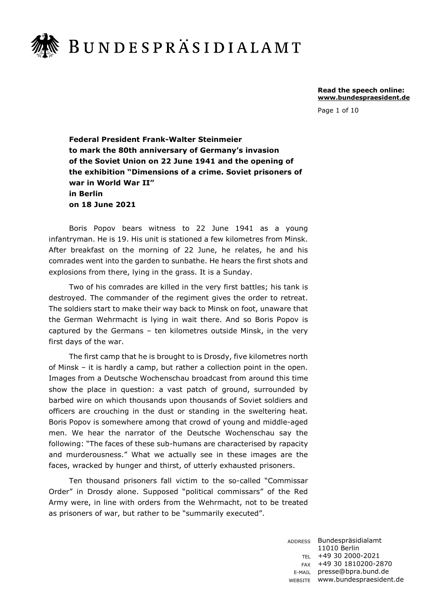

**Read the speech online: www.bundespraesident.de**

Page 1 of 10

**Federal President Frank-Walter Steinmeier to mark the 80th anniversary of Germany's invasion of the Soviet Union on 22 June 1941 and the opening of the exhibition "Dimensions of a crime. Soviet prisoners of war in World War II" in Berlin on 18 June 2021** 

Boris Popov bears witness to 22 June 1941 as a young infantryman. He is 19. His unit is stationed a few kilometres from Minsk. After breakfast on the morning of 22 June, he relates, he and his comrades went into the garden to sunbathe. He hears the first shots and explosions from there, lying in the grass. It is a Sunday.

Two of his comrades are killed in the very first battles; his tank is destroyed. The commander of the regiment gives the order to retreat. The soldiers start to make their way back to Minsk on foot, unaware that the German Wehrmacht is lying in wait there. And so Boris Popov is captured by the Germans – ten kilometres outside Minsk, in the very first days of the war.

The first camp that he is brought to is Drosdy, five kilometres north of Minsk – it is hardly a camp, but rather a collection point in the open. Images from a Deutsche Wochenschau broadcast from around this time show the place in question: a vast patch of ground, surrounded by barbed wire on which thousands upon thousands of Soviet soldiers and officers are crouching in the dust or standing in the sweltering heat. Boris Popov is somewhere among that crowd of young and middle-aged men. We hear the narrator of the Deutsche Wochenschau say the following: "The faces of these sub-humans are characterised by rapacity and murderousness." What we actually see in these images are the faces, wracked by hunger and thirst, of utterly exhausted prisoners.

Ten thousand prisoners fall victim to the so-called "Commissar Order" in Drosdy alone. Supposed "political commissars" of the Red Army were, in line with orders from the Wehrmacht, not to be treated as prisoners of war, but rather to be "summarily executed".

> ADDRESS Bundespräsidialamt TEL +49 30 2000-2021 FAX +49 30 1810200-2870 E-MAIL presse@bpra.bund.de WEBSITE www.bundespraesident.de 11010 Berlin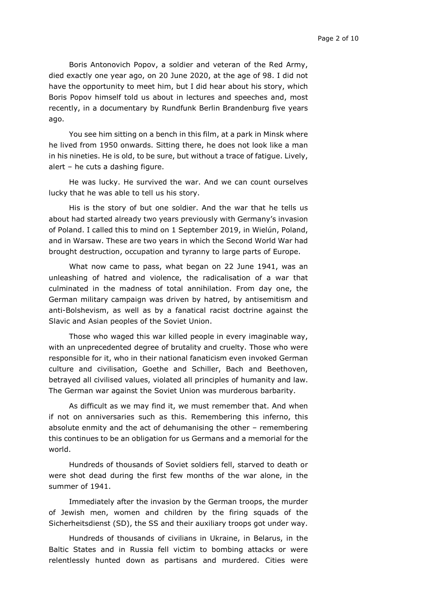Boris Antonovich Popov, a soldier and veteran of the Red Army, died exactly one year ago, on 20 June 2020, at the age of 98. I did not have the opportunity to meet him, but I did hear about his story, which Boris Popov himself told us about in lectures and speeches and, most recently, in a documentary by Rundfunk Berlin Brandenburg five years ago.

You see him sitting on a bench in this film, at a park in Minsk where he lived from 1950 onwards. Sitting there, he does not look like a man in his nineties. He is old, to be sure, but without a trace of fatigue. Lively, alert – he cuts a dashing figure.

He was lucky. He survived the war. And we can count ourselves lucky that he was able to tell us his story.

His is the story of but one soldier. And the war that he tells us about had started already two years previously with Germany's invasion of Poland. I called this to mind on 1 September 2019, in Wielún, Poland, and in Warsaw. These are two years in which the Second World War had brought destruction, occupation and tyranny to large parts of Europe.

What now came to pass, what began on 22 June 1941, was an unleashing of hatred and violence, the radicalisation of a war that culminated in the madness of total annihilation. From day one, the German military campaign was driven by hatred, by antisemitism and anti-Bolshevism, as well as by a fanatical racist doctrine against the Slavic and Asian peoples of the Soviet Union.

Those who waged this war killed people in every imaginable way, with an unprecedented degree of brutality and cruelty. Those who were responsible for it, who in their national fanaticism even invoked German culture and civilisation, Goethe and Schiller, Bach and Beethoven, betrayed all civilised values, violated all principles of humanity and law. The German war against the Soviet Union was murderous barbarity.

As difficult as we may find it, we must remember that. And when if not on anniversaries such as this. Remembering this inferno, this absolute enmity and the act of dehumanising the other – remembering this continues to be an obligation for us Germans and a memorial for the world.

Hundreds of thousands of Soviet soldiers fell, starved to death or were shot dead during the first few months of the war alone, in the summer of 1941.

Immediately after the invasion by the German troops, the murder of Jewish men, women and children by the firing squads of the Sicherheitsdienst (SD), the SS and their auxiliary troops got under way.

Hundreds of thousands of civilians in Ukraine, in Belarus, in the Baltic States and in Russia fell victim to bombing attacks or were relentlessly hunted down as partisans and murdered. Cities were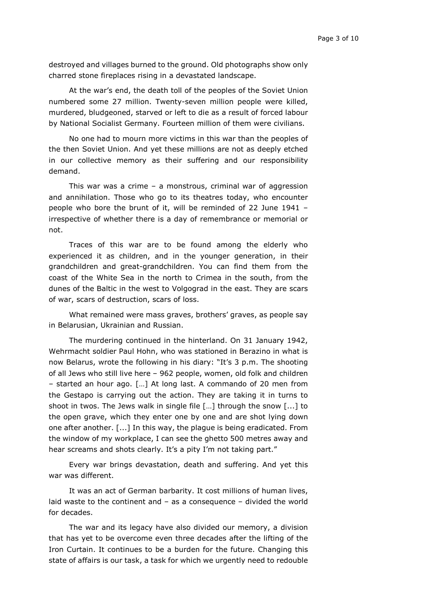destroyed and villages burned to the ground. Old photographs show only charred stone fireplaces rising in a devastated landscape.

At the war's end, the death toll of the peoples of the Soviet Union numbered some 27 million. Twenty-seven million people were killed, murdered, bludgeoned, starved or left to die as a result of forced labour by National Socialist Germany. Fourteen million of them were civilians.

No one had to mourn more victims in this war than the peoples of the then Soviet Union. And yet these millions are not as deeply etched in our collective memory as their suffering and our responsibility demand.

This war was a crime – a monstrous, criminal war of aggression and annihilation. Those who go to its theatres today, who encounter people who bore the brunt of it, will be reminded of 22 June 1941 – irrespective of whether there is a day of remembrance or memorial or not.

Traces of this war are to be found among the elderly who experienced it as children, and in the younger generation, in their grandchildren and great-grandchildren. You can find them from the coast of the White Sea in the north to Crimea in the south, from the dunes of the Baltic in the west to Volgograd in the east. They are scars of war, scars of destruction, scars of loss.

What remained were mass graves, brothers' graves, as people say in Belarusian, Ukrainian and Russian.

The murdering continued in the hinterland. On 31 January 1942, Wehrmacht soldier Paul Hohn, who was stationed in Berazino in what is now Belarus, wrote the following in his diary: "It's 3 p.m. The shooting of all Jews who still live here – 962 people, women, old folk and children ‒ started an hour ago. […] At long last. A commando of 20 men from the Gestapo is carrying out the action. They are taking it in turns to shoot in twos. The Jews walk in single file […] through the snow [...] to the open grave, which they enter one by one and are shot lying down one after another. [...] In this way, the plague is being eradicated. From the window of my workplace, I can see the ghetto 500 metres away and hear screams and shots clearly. It's a pity I'm not taking part."

Every war brings devastation, death and suffering. And yet this war was different.

It was an act of German barbarity. It cost millions of human lives, laid waste to the continent and – as a consequence – divided the world for decades.

The war and its legacy have also divided our memory, a division that has yet to be overcome even three decades after the lifting of the Iron Curtain. It continues to be a burden for the future. Changing this state of affairs is our task, a task for which we urgently need to redouble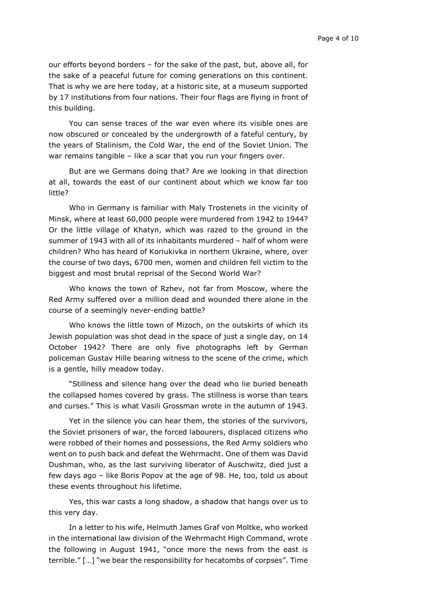our efforts beyond borders – for the sake of the past, but, above all, for the sake of a peaceful future for coming generations on this continent. That is why we are here today, at a historic site, at a museum supported by 17 institutions from four nations. Their four flags are flying in front of this building.

You can sense traces of the war even where its visible ones are now obscured or concealed by the undergrowth of a fateful century, by the years of Stalinism, the Cold War, the end of the Soviet Union. The war remains tangible - like a scar that you run your fingers over.

But are we Germans doing that? Are we looking in that direction at all, towards the east of our continent about which we know far too little?

Who in Germany is familiar with Maly Trostenets in the vicinity of Minsk, where at least 60,000 people were murdered from 1942 to 1944? Or the little village of Khatyn, which was razed to the ground in the summer of 1943 with all of its inhabitants murdered – half of whom were children? Who has heard of Koriukivka in northern Ukraine, where, over the course of two days, 6700 men, women and children fell victim to the biggest and most brutal reprisal of the Second World War?

Who knows the town of Rzhev, not far from Moscow, where the Red Army suffered over a million dead and wounded there alone in the course of a seemingly never-ending battle?

Who knows the little town of Mizoch, on the outskirts of which its Jewish population was shot dead in the space of just a single day, on 14 October 1942? There are only five photographs left by German policeman Gustav Hille bearing witness to the scene of the crime, which is a gentle, hilly meadow today.

"Stillness and silence hang over the dead who lie buried beneath the collapsed homes covered by grass. The stillness is worse than tears and curses." This is what Vasili Grossman wrote in the autumn of 1943.

Yet in the silence you can hear them, the stories of the survivors, the Soviet prisoners of war, the forced labourers, displaced citizens who were robbed of their homes and possessions, the Red Army soldiers who went on to push back and defeat the Wehrmacht. One of them was David Dushman, who, as the last surviving liberator of Auschwitz, died just a few days ago – like Boris Popov at the age of 98. He, too, told us about these events throughout his lifetime.

Yes, this war casts a long shadow, a shadow that hangs over us to this very day.

In a letter to his wife, Helmuth James Graf von Moltke, who worked in the international law division of the Wehrmacht High Command, wrote the following in August 1941, "once more the news from the east is terrible." […] "we bear the responsibility for hecatombs of corpses". Time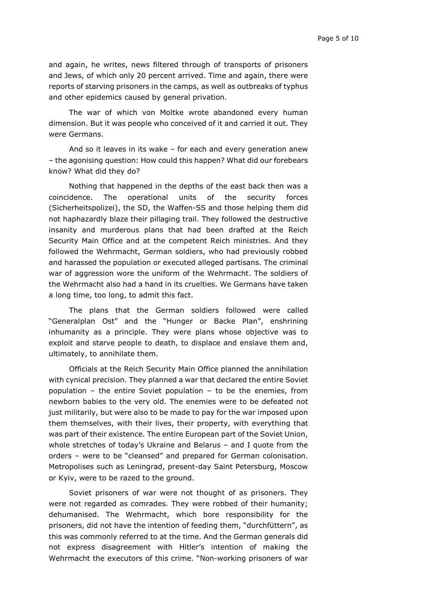and again, he writes, news filtered through of transports of prisoners and Jews, of which only 20 percent arrived. Time and again, there were reports of starving prisoners in the camps, as well as outbreaks of typhus and other epidemics caused by general privation.

The war of which von Moltke wrote abandoned every human dimension. But it was people who conceived of it and carried it out. They were Germans.

And so it leaves in its wake – for each and every generation anew – the agonising question: How could this happen? What did our forebears know? What did they do?

Nothing that happened in the depths of the east back then was a coincidence. The operational units of the security forces (Sicherheitspolizei), the SD, the Waffen-SS and those helping them did not haphazardly blaze their pillaging trail. They followed the destructive insanity and murderous plans that had been drafted at the Reich Security Main Office and at the competent Reich ministries. And they followed the Wehrmacht, German soldiers, who had previously robbed and harassed the population or executed alleged partisans. The criminal war of aggression wore the uniform of the Wehrmacht. The soldiers of the Wehrmacht also had a hand in its cruelties. We Germans have taken a long time, too long, to admit this fact.

The plans that the German soldiers followed were called "Generalplan Ost" and the "Hunger or Backe Plan", enshrining inhumanity as a principle. They were plans whose objective was to exploit and starve people to death, to displace and enslave them and, ultimately, to annihilate them.

Officials at the Reich Security Main Office planned the annihilation with cynical precision. They planned a war that declared the entire Soviet population – the entire Soviet population – to be the enemies, from newborn babies to the very old. The enemies were to be defeated not just militarily, but were also to be made to pay for the war imposed upon them themselves, with their lives, their property, with everything that was part of their existence. The entire European part of the Soviet Union, whole stretches of today's Ukraine and Belarus – and I quote from the orders – were to be "cleansed" and prepared for German colonisation. Metropolises such as Leningrad, present-day Saint Petersburg, Moscow or Kyiv, were to be razed to the ground.

Soviet prisoners of war were not thought of as prisoners. They were not regarded as comrades. They were robbed of their humanity; dehumanised. The Wehrmacht, which bore responsibility for the prisoners, did not have the intention of feeding them, "durchfüttern", as this was commonly referred to at the time. And the German generals did not express disagreement with Hitler's intention of making the Wehrmacht the executors of this crime. "Non-working prisoners of war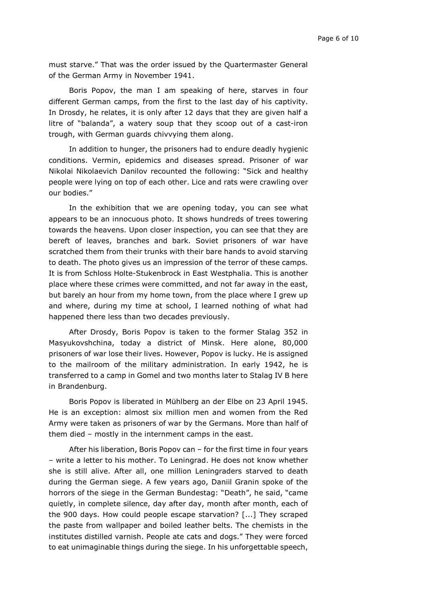must starve." That was the order issued by the Quartermaster General of the German Army in November 1941.

Boris Popov, the man I am speaking of here, starves in four different German camps, from the first to the last day of his captivity. In Drosdy, he relates, it is only after 12 days that they are given half a litre of "balanda", a watery soup that they scoop out of a cast-iron trough, with German guards chivvying them along.

In addition to hunger, the prisoners had to endure deadly hygienic conditions. Vermin, epidemics and diseases spread. Prisoner of war Nikolai Nikolaevich Danilov recounted the following: "Sick and healthy people were lying on top of each other. Lice and rats were crawling over our bodies."

In the exhibition that we are opening today, you can see what appears to be an innocuous photo. It shows hundreds of trees towering towards the heavens. Upon closer inspection, you can see that they are bereft of leaves, branches and bark. Soviet prisoners of war have scratched them from their trunks with their bare hands to avoid starving to death. The photo gives us an impression of the terror of these camps. It is from Schloss Holte-Stukenbrock in East Westphalia. This is another place where these crimes were committed, and not far away in the east, but barely an hour from my home town, from the place where I grew up and where, during my time at school, I learned nothing of what had happened there less than two decades previously.

After Drosdy, Boris Popov is taken to the former Stalag 352 in Masyukovshchina, today a district of Minsk. Here alone, 80,000 prisoners of war lose their lives. However, Popov is lucky. He is assigned to the mailroom of the military administration. In early 1942, he is transferred to a camp in Gomel and two months later to Stalag IV B here in Brandenburg.

Boris Popov is liberated in Mühlberg an der Elbe on 23 April 1945. He is an exception: almost six million men and women from the Red Army were taken as prisoners of war by the Germans. More than half of them died – mostly in the internment camps in the east.

After his liberation, Boris Popov can – for the first time in four years – write a letter to his mother. To Leningrad. He does not know whether she is still alive. After all, one million Leningraders starved to death during the German siege. A few years ago, Daniil Granin spoke of the horrors of the siege in the German Bundestag: "Death", he said, "came quietly, in complete silence, day after day, month after month, each of the 900 days. How could people escape starvation? [...] They scraped the paste from wallpaper and boiled leather belts. The chemists in the institutes distilled varnish. People ate cats and dogs." They were forced to eat unimaginable things during the siege. In his unforgettable speech,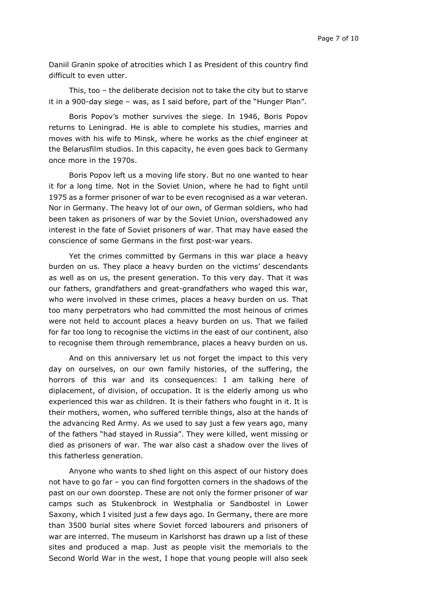Daniil Granin spoke of atrocities which I as President of this country find difficult to even utter.

This, too – the deliberate decision not to take the city but to starve it in a 900-day siege – was, as I said before, part of the "Hunger Plan".

Boris Popov's mother survives the siege. In 1946, Boris Popov returns to Leningrad. He is able to complete his studies, marries and moves with his wife to Minsk, where he works as the chief engineer at the Belarusfilm studios. In this capacity, he even goes back to Germany once more in the 1970s.

Boris Popov left us a moving life story. But no one wanted to hear it for a long time. Not in the Soviet Union, where he had to fight until 1975 as a former prisoner of war to be even recognised as a war veteran. Nor in Germany. The heavy lot of our own, of German soldiers, who had been taken as prisoners of war by the Soviet Union, overshadowed any interest in the fate of Soviet prisoners of war. That may have eased the conscience of some Germans in the first post-war years.

Yet the crimes committed by Germans in this war place a heavy burden on us. They place a heavy burden on the victims' descendants as well as on us, the present generation. To this very day. That it was our fathers, grandfathers and great-grandfathers who waged this war, who were involved in these crimes, places a heavy burden on us. That too many perpetrators who had committed the most heinous of crimes were not held to account places a heavy burden on us. That we failed for far too long to recognise the victims in the east of our continent, also to recognise them through remembrance, places a heavy burden on us.

And on this anniversary let us not forget the impact to this very day on ourselves, on our own family histories, of the suffering, the horrors of this war and its consequences: I am talking here of diplacement, of division, of occupation. It is the elderly among us who experienced this war as children. It is their fathers who fought in it. It is their mothers, women, who suffered terrible things, also at the hands of the advancing Red Army. As we used to say just a few years ago, many of the fathers "had stayed in Russia". They were killed, went missing or died as prisoners of war. The war also cast a shadow over the lives of this fatherless generation.

Anyone who wants to shed light on this aspect of our history does not have to go far – you can find forgotten corners in the shadows of the past on our own doorstep. These are not only the former prisoner of war camps such as Stukenbrock in Westphalia or Sandbostel in Lower Saxony, which I visited just a few days ago. In Germany, there are more than 3500 burial sites where Soviet forced labourers and prisoners of war are interred. The museum in Karlshorst has drawn up a list of these sites and produced a map. Just as people visit the memorials to the Second World War in the west, I hope that young people will also seek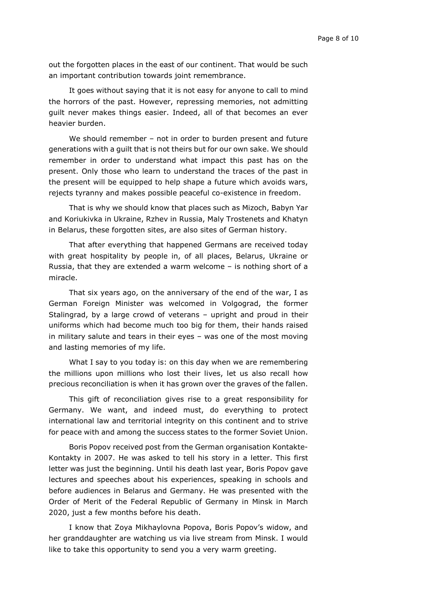out the forgotten places in the east of our continent. That would be such an important contribution towards joint remembrance.

It goes without saying that it is not easy for anyone to call to mind the horrors of the past. However, repressing memories, not admitting guilt never makes things easier. Indeed, all of that becomes an ever heavier burden.

We should remember – not in order to burden present and future generations with a guilt that is not theirs but for our own sake. We should remember in order to understand what impact this past has on the present. Only those who learn to understand the traces of the past in the present will be equipped to help shape a future which avoids wars, rejects tyranny and makes possible peaceful co-existence in freedom.

That is why we should know that places such as Mizoch, Babyn Yar and Koriukivka in Ukraine, Rzhev in Russia, Maly Trostenets and Khatyn in Belarus, these forgotten sites, are also sites of German history.

That after everything that happened Germans are received today with great hospitality by people in, of all places, Belarus, Ukraine or Russia, that they are extended a warm welcome – is nothing short of a miracle.

That six years ago, on the anniversary of the end of the war, I as German Foreign Minister was welcomed in Volgograd, the former Stalingrad, by a large crowd of veterans – upright and proud in their uniforms which had become much too big for them, their hands raised in military salute and tears in their eyes – was one of the most moving and lasting memories of my life.

What I say to you today is: on this day when we are remembering the millions upon millions who lost their lives, let us also recall how precious reconciliation is when it has grown over the graves of the fallen.

This gift of reconciliation gives rise to a great responsibility for Germany. We want, and indeed must, do everything to protect international law and territorial integrity on this continent and to strive for peace with and among the success states to the former Soviet Union.

Boris Popov received post from the German organisation Kontakte-Kontakty in 2007. He was asked to tell his story in a letter. This first letter was just the beginning. Until his death last year, Boris Popov gave lectures and speeches about his experiences, speaking in schools and before audiences in Belarus and Germany. He was presented with the Order of Merit of the Federal Republic of Germany in Minsk in March 2020, just a few months before his death.

I know that Zoya Mikhaylovna Popova, Boris Popov's widow, and her granddaughter are watching us via live stream from Minsk. I would like to take this opportunity to send you a very warm greeting.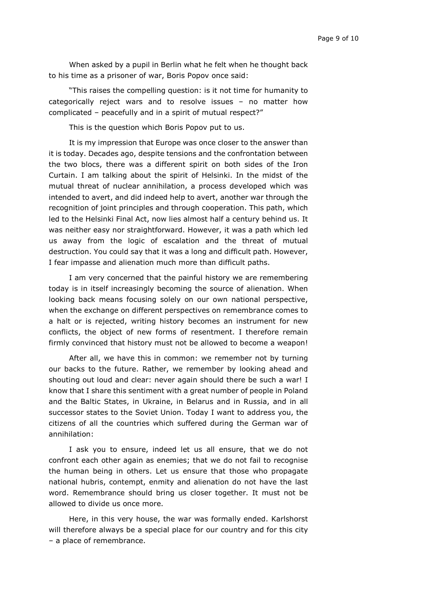When asked by a pupil in Berlin what he felt when he thought back to his time as a prisoner of war, Boris Popov once said:

"This raises the compelling question: is it not time for humanity to categorically reject wars and to resolve issues – no matter how complicated – peacefully and in a spirit of mutual respect?"

This is the question which Boris Popov put to us.

It is my impression that Europe was once closer to the answer than it is today. Decades ago, despite tensions and the confrontation between the two blocs, there was a different spirit on both sides of the Iron Curtain. I am talking about the spirit of Helsinki. In the midst of the mutual threat of nuclear annihilation, a process developed which was intended to avert, and did indeed help to avert, another war through the recognition of joint principles and through cooperation. This path, which led to the Helsinki Final Act, now lies almost half a century behind us. It was neither easy nor straightforward. However, it was a path which led us away from the logic of escalation and the threat of mutual destruction. You could say that it was a long and difficult path. However, I fear impasse and alienation much more than difficult paths.

I am very concerned that the painful history we are remembering today is in itself increasingly becoming the source of alienation. When looking back means focusing solely on our own national perspective, when the exchange on different perspectives on remembrance comes to a halt or is rejected, writing history becomes an instrument for new conflicts, the object of new forms of resentment. I therefore remain firmly convinced that history must not be allowed to become a weapon!

After all, we have this in common: we remember not by turning our backs to the future. Rather, we remember by looking ahead and shouting out loud and clear: never again should there be such a war! I know that I share this sentiment with a great number of people in Poland and the Baltic States, in Ukraine, in Belarus and in Russia, and in all successor states to the Soviet Union. Today I want to address you, the citizens of all the countries which suffered during the German war of annihilation:

I ask you to ensure, indeed let us all ensure, that we do not confront each other again as enemies; that we do not fail to recognise the human being in others. Let us ensure that those who propagate national hubris, contempt, enmity and alienation do not have the last word. Remembrance should bring us closer together. It must not be allowed to divide us once more.

Here, in this very house, the war was formally ended. Karlshorst will therefore always be a special place for our country and for this city – a place of remembrance.